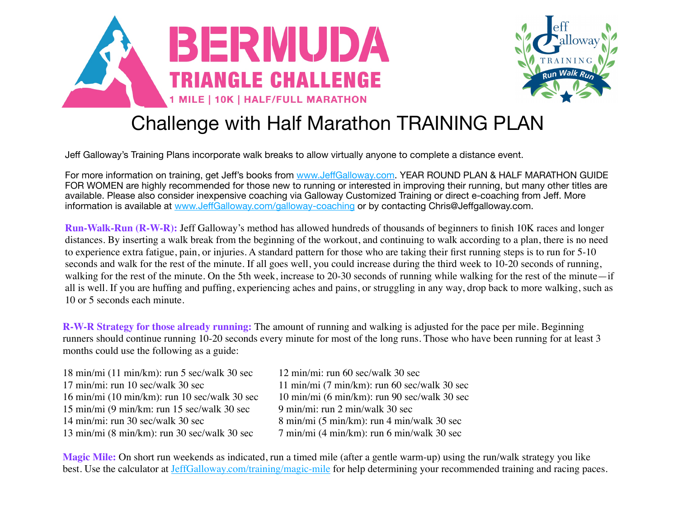



## Challenge with Half Marathon TRAINING PLAN

Jeff Galloway's Training Plans incorporate walk breaks to allow virtually anyone to complete a distance event.

For more information on training, get Jeff's books from www.Jeff[Galloway.com.](http://www.jeffgalloway.com/) YEAR ROUND PLAN & HALF MARATHON GUIDE FOR WOMEN are highly recommended for those new to running or interested in improving their running, but many other titles are available. Please also consider inexpensive coaching via Galloway Customized Training or direct e-coaching from Jeff. More information is available at www.Jeff[Galloway.com/galloway-coaching](http://www.jeffgalloway.com/galloway-coaching) or by contacting Chris@Jeffgalloway.com.

**Run-Walk-Run (R-W-R):** Jeff Galloway's method has allowed hundreds of thousands of beginners to finish 10K races and longer distances. By inserting a walk break from the beginning of the workout, and continuing to walk according to a plan, there is no need to experience extra fatigue, pain, or injuries. A standard pattern for those who are taking their first running steps is to run for 5-10 seconds and walk for the rest of the minute. If all goes well, you could increase during the third week to 10-20 seconds of running, walking for the rest of the minute. On the 5th week, increase to 20-30 seconds of running while walking for the rest of the minute—if all is well. If you are huffing and puffing, experiencing aches and pains, or struggling in any way, drop back to more walking, such as 10 or 5 seconds each minute.

**R-W-R Strategy for those already running:** The amount of running and walking is adjusted for the pace per mile. Beginning runners should continue running 10-20 seconds every minute for most of the long runs. Those who have been running for at least 3 months could use the following as a guide:

18 min/mi (11 min/km): run 5 sec/walk 30 sec 12 min/mi: run 60 sec/walk 30 sec  $17 \text{ min/min}$ : run  $10 \text{ sec/walk } 30 \text{ sec}$   $11 \text{ min/min } (7 \text{ min/km})$ : run  $60 \text{ sec/walk } 30 \text{ sec}$ 16 min/mi (10 min/km): run 10 sec/walk 30 sec 10 min/mi (6 min/km): run 90 sec/walk 30 sec 15 min/mi (9 min/km: run 15 sec/walk 30 sec 9 min/mi: run 2 min/walk 30 sec 14 min/mi: run 30 sec/walk 30 sec  $\frac{8 \text{ min}}{\text{ min}}$  (5 min/km): run 4 min/walk 30 sec 13 min/mi (8 min/km): run 30 sec/walk 30 sec 7 min/mi (4 min/km): run 6 min/walk 30 sec

**Magic Mile:** On short run weekends as indicated, run a timed mile (after a gentle warm-up) using the run/walk strategy you like best. Use the calculator at [JeffGalloway.com/training/magic-mile](http://JeffGalloway.com/training/magic-mile) for help determining your recommended training and racing paces.